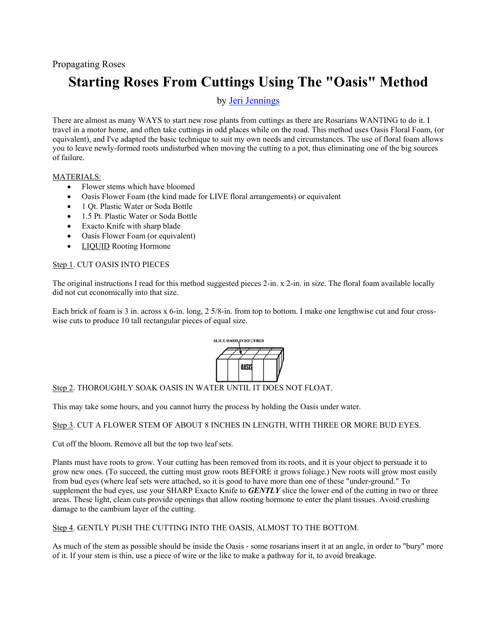# **Starting Roses From Cuttings Using The "Oasis" Method**

## by Jeri Jennings

There are almost as many WAYS to start new rose plants from cuttings as there are Rosarians WANTING to do it. I travel in a motor home, and often take cuttings in odd places while on the road. This method uses Oasis Floral Foam, (or equivalent), and I've adapted the basic technique to suit my own needs and circumstances. The use of floral foam allows you to leave newly-formed roots undisturbed when moving the cutting to a pot, thus eliminating one of the big sources of failure.

### MATERIALS:

- Flower stems which have bloomed
- Oasis Flower Foam (the kind made for LIVE floral arrangements) or equivalent
- 1 Qt. Plastic Water or Soda Bottle
- 1.5 Pt. Plastic Water or Soda Bottle
- Exacto Knife with sharp blade
- Oasis Flower Foam (or equivalent)
- LIQUID Rooting Hormone

### Step 1. CUT OASIS INTO PIECES

The original instructions I read for this method suggested pieces 2-in. x 2-in. in size. The floral foam available locally did not cut economically into that size.

Each brick of foam is 3 in. across x 6-in. long, 2 5/8-in. from top to bottom. I make one lengthwise cut and four crosswise cuts to produce 10 tall rectangular pieces of equal size.



Step 2. THOROUGHLY SOAK OASIS IN WATER UNTIL IT DOES NOT FLOAT.

This may take some hours, and you cannot hurry the process by holding the Oasis under water.

Step 3. CUT A FLOWER STEM OF ABOUT 8 INCHES IN LENGTH, WITH THREE OR MORE BUD EYES.

Cut off the bloom. Remove all but the top two leaf sets.

Plants must have roots to grow. Your cutting has been removed from its roots, and it is your object to persuade it to grow new ones. (To succeed, the cutting must grow roots BEFORE it grows foliage.) New roots will grow most easily from bud eyes (where leaf sets were attached, so it is good to have more than one of these "under-ground." To supplement the bud eyes, use your SHARP Exacto Knife to *GENTLY* slice the lower end of the cutting in two or three areas. These light, clean cuts provide openings that allow rooting hormone to enter the plant tissues. Avoid crushing damage to the cambium layer of the cutting.

Step 4. GENTLY PUSH THE CUTTING INTO THE OASIS, ALMOST TO THE BOTTOM.

As much of the stem as possible should be inside the Oasis - some rosarians insert it at an angle, in order to "bury" more of it. If your stem is thin, use a piece of wire or the like to make a pathway for it, to avoid breakage.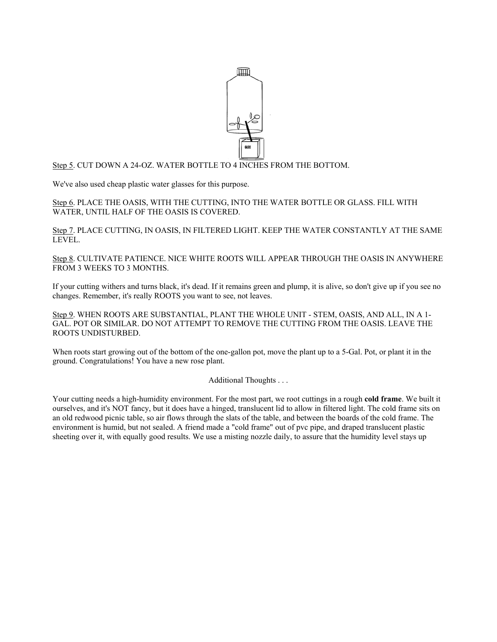

Step 5. CUT DOWN A 24-OZ. WATER BOTTLE TO 4 INCHES FROM THE BOTTOM.

We've also used cheap plastic water glasses for this purpose.

Step 6. PLACE THE OASIS, WITH THE CUTTING, INTO THE WATER BOTTLE OR GLASS. FILL WITH WATER, UNTIL HALF OF THE OASIS IS COVERED.

Step 7. PLACE CUTTING, IN OASIS, IN FILTERED LIGHT. KEEP THE WATER CONSTANTLY AT THE SAME LEVEL.

Step 8. CULTIVATE PATIENCE. NICE WHITE ROOTS WILL APPEAR THROUGH THE OASIS IN ANYWHERE FROM 3 WEEKS TO 3 MONTHS.

If your cutting withers and turns black, it's dead. If it remains green and plump, it is alive, so don't give up if you see no changes. Remember, it's really ROOTS you want to see, not leaves.

Step 9. WHEN ROOTS ARE SUBSTANTIAL, PLANT THE WHOLE UNIT - STEM, OASIS, AND ALL, IN A 1- GAL. POT OR SIMILAR. DO NOT ATTEMPT TO REMOVE THE CUTTING FROM THE OASIS. LEAVE THE ROOTS UNDISTURBED.

When roots start growing out of the bottom of the one-gallon pot, move the plant up to a 5-Gal. Pot, or plant it in the ground. Congratulations! You have a new rose plant.

Additional Thoughts . . .

Your cutting needs a high-humidity environment. For the most part, we root cuttings in a rough **cold frame**. We built it ourselves, and it's NOT fancy, but it does have a hinged, translucent lid to allow in filtered light. The cold frame sits on an old redwood picnic table, so air flows through the slats of the table, and between the boards of the cold frame. The environment is humid, but not sealed. A friend made a "cold frame" out of pvc pipe, and draped translucent plastic sheeting over it, with equally good results. We use a misting nozzle daily, to assure that the humidity level stays up